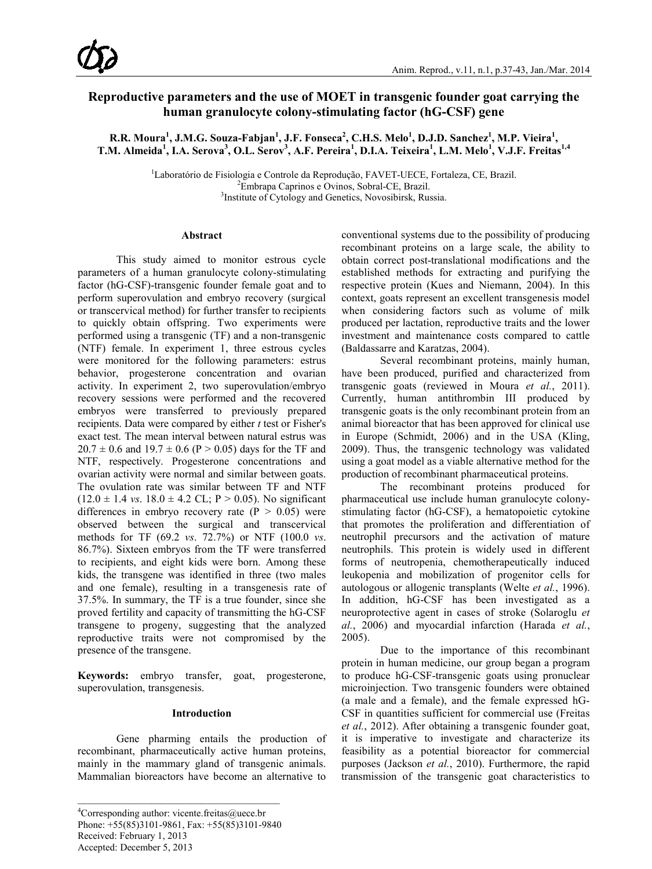# **Reproductive parameters and the use of MOET in transgenic founder goat carrying the human granulocyte colony-stimulating factor (hG-CSF) gene**

 $R$ **.R. Moura<sup>1</sup>, J.M.G. Souza-Fabjan<sup>1</sup>, J.F. Fonseca<sup>2</sup>, C.H.S. Melo<sup>1</sup>, D.J.D. Sanchez<sup>1</sup>, M.P. Vieira<sup>1</sup>, T.M. Almeida<sup>1</sup> , I.A. Serova<sup>3</sup> , O.L. Serov<sup>3</sup> , A.F. Pereira<sup>1</sup> , D.I.A. Teixeira<sup>1</sup> , L.M. Melo<sup>1</sup> , V.J.F. Freitas1,4**

> <sup>1</sup>Laboratório de Fisiologia e Controle da Reprodução, FAVET-UECE, Fortaleza, CE, Brazil.<br><sup>2</sup>Embrana Continos e Ovinos, Sobral CE, Brazil. Embrapa Caprinos e Ovinos, Sobral-CE, Brazil. <sup>3</sup> <sup>3</sup>Institute of Cytology and Genetics, Novosibirsk, Russia.

#### **Abstract**

This study aimed to monitor estrous cycle parameters of a human granulocyte colony-stimulating factor (hG-CSF)-transgenic founder female goat and to perform superovulation and embryo recovery (surgical or transcervical method) for further transfer to recipients to quickly obtain offspring. Two experiments were performed using a transgenic (TF) and a non-transgenic (NTF) female. In experiment 1, three estrous cycles were monitored for the following parameters: estrus behavior, progesterone concentration and ovarian activity. In experiment 2, two superovulation/embryo recovery sessions were performed and the recovered embryos were transferred to previously prepared recipients. Data were compared by either *t* test or Fisher's exact test. The mean interval between natural estrus was  $20.7 \pm 0.6$  and  $19.7 \pm 0.6$  (P > 0.05) days for the TF and NTF, respectively. Progesterone concentrations and ovarian activity were normal and similar between goats. The ovulation rate was similar between TF and NTF  $(12.0 \pm 1.4 \text{ vs. } 18.0 \pm 4.2 \text{ CL}; P > 0.05)$ . No significant differences in embryo recovery rate  $(P > 0.05)$  were observed between the surgical and transcervical methods for TF (69.2 *vs*. 72.7%) or NTF (100.0 *vs*. 86.7%). Sixteen embryos from the TF were transferred to recipients, and eight kids were born. Among these kids, the transgene was identified in three (two males and one female), resulting in a transgenesis rate of 37.5%. In summary, the TF is a true founder, since she proved fertility and capacity of transmitting the hG-CSF transgene to progeny, suggesting that the analyzed reproductive traits were not compromised by the presence of the transgene.

**Keywords:** embryo transfer, goat, progesterone, superovulation, transgenesis.

#### **Introduction**

Gene pharming entails the production of recombinant, pharmaceutically active human proteins, mainly in the mammary gland of transgenic animals. Mammalian bioreactors have become an alternative to

conventional systems due to the possibility of producing recombinant proteins on a large scale, the ability to obtain correct post-translational modifications and the established methods for extracting and purifying the respective protein (Kues and Niemann, 2004). In this context, goats represent an excellent transgenesis model when considering factors such as volume of milk produced per lactation, reproductive traits and the lower investment and maintenance costs compared to cattle (Baldassarre and Karatzas, 2004).

Several recombinant proteins, mainly human, have been produced, purified and characterized from transgenic goats (reviewed in Moura *et al.*, 2011). Currently, human antithrombin III produced by transgenic goats is the only recombinant protein from an animal bioreactor that has been approved for clinical use in Europe (Schmidt, 2006) and in the USA (Kling, 2009). Thus, the transgenic technology was validated using a goat model as a viable alternative method for the production of recombinant pharmaceutical proteins.

The recombinant proteins produced for pharmaceutical use include human granulocyte colonystimulating factor (hG-CSF), a hematopoietic cytokine that promotes the proliferation and differentiation of neutrophil precursors and the activation of mature neutrophils. This protein is widely used in different forms of neutropenia, chemotherapeutically induced leukopenia and mobilization of progenitor cells for autologous or allogenic transplants (Welte *et al.*, 1996). In addition, hG-CSF has been investigated as a neuroprotective agent in cases of stroke (Solaroglu *et al.*, 2006) and myocardial infarction (Harada *et al.*, 2005).

Due to the importance of this recombinant protein in human medicine, our group began a program to produce hG-CSF-transgenic goats using pronuclear microinjection. Two transgenic founders were obtained (a male and a female), and the female expressed hG-CSF in quantities sufficient for commercial use (Freitas *et al.*, 2012). After obtaining a transgenic founder goat, it is imperative to investigate and characterize its feasibility as a potential bioreactor for commercial purposes (Jackson *et al.*, 2010). Furthermore, the rapid transmission of the transgenic goat characteristics to

<sup>&</sup>lt;sup>4</sup>Corresponding author: vicente.freitas@uece.br Phone: +55(85)3101-9861, Fax: +55(85)3101-9840 Received: February 1, 2013 Accepted: December 5, 2013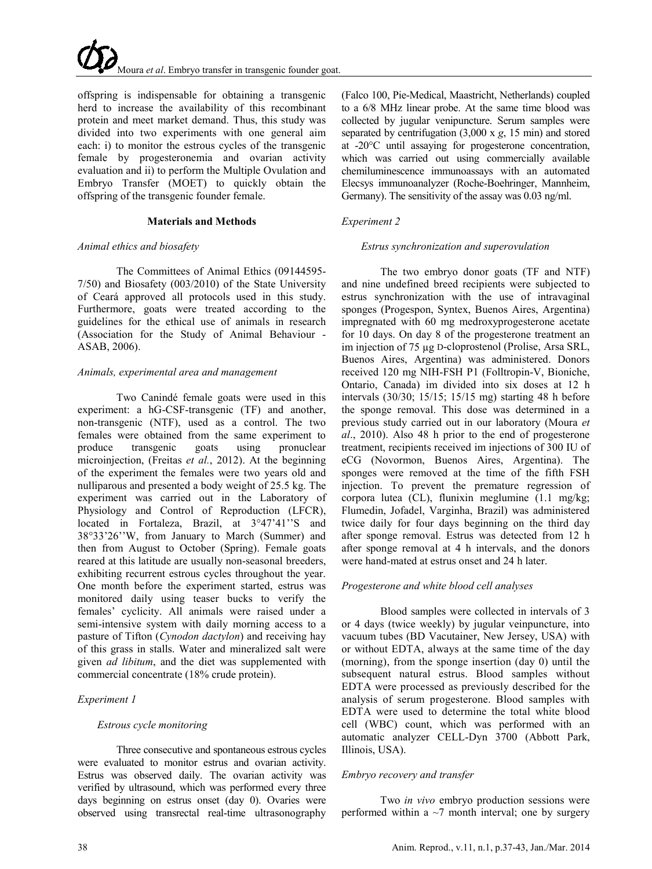offspring is indispensable for obtaining a transgenic herd to increase the availability of this recombinant protein and meet market demand. Thus, this study was divided into two experiments with one general aim each: i) to monitor the estrous cycles of the transgenic female by progesteronemia and ovarian activity evaluation and ii) to perform the Multiple Ovulation and Embryo Transfer (MOET) to quickly obtain the offspring of the transgenic founder female.

#### **Materials and Methods**

#### *Animal ethics and biosafety*

The Committees of Animal Ethics (09144595- 7/50) and Biosafety (003/2010) of the State University of Ceará approved all protocols used in this study. Furthermore, goats were treated according to the guidelines for the ethical use of animals in research (Association for the Study of Animal Behaviour - ASAB, 2006).

#### *Animals, experimental area and management*

Two Canindé female goats were used in this experiment: a hG-CSF-transgenic (TF) and another, non-transgenic (NTF), used as a control. The two females were obtained from the same experiment to produce transgenic goats using pronuclear microinjection, (Freitas *et al.*, 2012). At the beginning of the experiment the females were two years old and nulliparous and presented a body weight of 25.5 kg. The experiment was carried out in the Laboratory of Physiology and Control of Reproduction (LFCR), located in Fortaleza, Brazil, at  $3°47'41'$ 'S and 38°33'26''W, from January to March (Summer) and then from August to October (Spring). Female goats reared at this latitude are usually non-seasonal breeders, exhibiting recurrent estrous cycles throughout the year. One month before the experiment started, estrus was monitored daily using teaser bucks to verify the females' cyclicity. All animals were raised under a semi-intensive system with daily morning access to a pasture of Tifton (*Cynodon dactylon*) and receiving hay of this grass in stalls. Water and mineralized salt were given *ad libitum*, and the diet was supplemented with commercial concentrate (18% crude protein).

# *Experiment 1*

#### *Estrous cycle monitoring*

Three consecutive and spontaneous estrous cycles were evaluated to monitor estrus and ovarian activity. Estrus was observed daily. The ovarian activity was verified by ultrasound, which was performed every three days beginning on estrus onset (day 0). Ovaries were observed using transrectal real-time ultrasonography

(Falco 100, Pie-Medical, Maastricht, Netherlands) coupled to a 6/8 MHz linear probe. At the same time blood was collected by jugular venipuncture. Serum samples were separated by centrifugation (3,000 x *g*, 15 min) and stored at -20°C until assaying for progesterone concentration, which was carried out using commercially available chemiluminescence immunoassays with an automated Elecsys immunoanalyzer (Roche-Boehringer, Mannheim, Germany). The sensitivity of the assay was 0.03 ng/ml.

## *Experiment 2*

#### *Estrus synchronization and superovulation*

The two embryo donor goats (TF and NTF) and nine undefined breed recipients were subjected to estrus synchronization with the use of intravaginal sponges (Progespon, Syntex, Buenos Aires, Argentina) impregnated with 60 mg medroxyprogesterone acetate for 10 days. On day 8 of the progesterone treatment an im injection of 75 µg D-cloprostenol (Prolise, Arsa SRL, Buenos Aires, Argentina) was administered. Donors received 120 mg NIH-FSH P1 (Folltropin-V, Bioniche, Ontario, Canada) im divided into six doses at 12 h intervals (30/30; 15/15; 15/15 mg) starting 48 h before the sponge removal. This dose was determined in a previous study carried out in our laboratory (Moura *et al*., 2010). Also 48 h prior to the end of progesterone treatment, recipients received im injections of 300 IU of eCG (Novormon, Buenos Aires, Argentina). The sponges were removed at the time of the fifth FSH injection. To prevent the premature regression of corpora lutea (CL), flunixin meglumine (1.1 mg/kg; Flumedin, Jofadel, Varginha, Brazil) was administered twice daily for four days beginning on the third day after sponge removal. Estrus was detected from 12 h after sponge removal at 4 h intervals, and the donors were hand-mated at estrus onset and 24 h later.

# *Progesterone and white blood cell analyses*

Blood samples were collected in intervals of 3 or 4 days (twice weekly) by jugular veinpuncture, into vacuum tubes (BD Vacutainer, New Jersey, USA) with or without EDTA, always at the same time of the day (morning), from the sponge insertion (day 0) until the subsequent natural estrus. Blood samples without EDTA were processed as previously described for the analysis of serum progesterone. Blood samples with EDTA were used to determine the total white blood cell (WBC) count, which was performed with an automatic analyzer CELL-Dyn 3700 (Abbott Park, Illinois, USA).

# *Embryo recovery and transfer*

Two *in vivo* embryo production sessions were performed within a  $\sim$ 7 month interval; one by surgery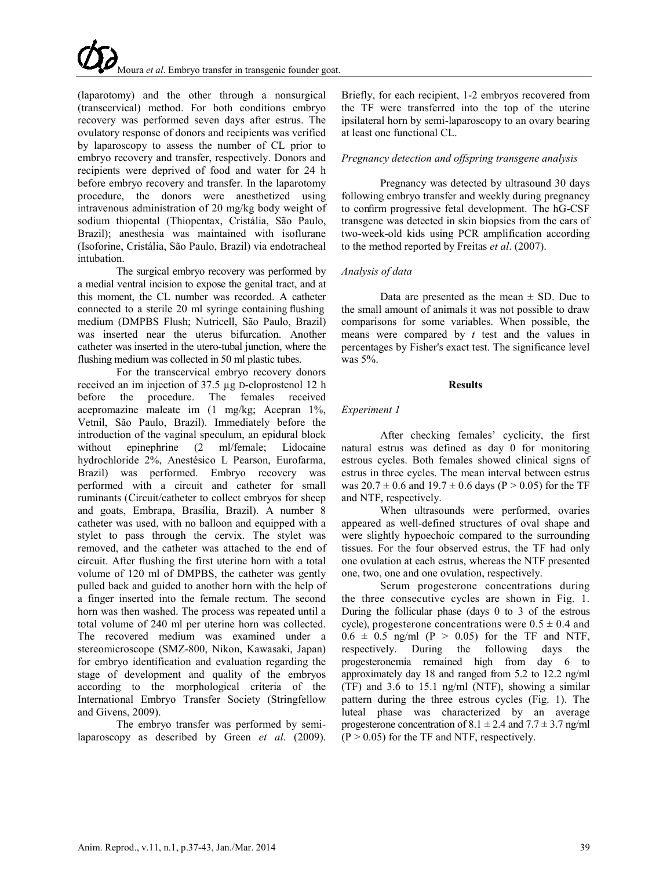(laparotomy) and the other through a nonsurgical (transcervical) method. For both conditions embryo recovery was performed seven days after estrus. The ovulatory response of donors and recipients was verified by laparoscopy to assess the number of CL prior to embryo recovery and transfer, respectively. Donors and recipients were deprived of food and water for 24 h before embryo recovery and transfer. In the laparotomy procedure, the donors were anesthetized using intravenous administration of 20 mg/kg body weight of sodium thiopental (Thiopentax, Cristália, São Paulo, Brazil); anesthesia was maintained with isoflurane (Isoforine, Cristália, São Paulo, Brazil) via endotracheal intubation.

The surgical embryo recovery was performed by a medial ventral incision to expose the genital tract, and at this moment, the CL number was recorded. A catheter connected to a sterile 20 ml syringe containing flushing medium (DMPBS Flush; Nutricell, São Paulo, Brazil) was inserted near the uterus bifurcation. Another catheter was inserted in the utero-tubal junction, where the flushing medium was collected in 50 ml plastic tubes.

For the transcervical embryo recovery donors received an im injection of 37.5 µg D-cloprostenol 12 h before the procedure. The females received acepromazine maleate im (1 mg/kg; Acepran 1%, Vetnil, São Paulo, Brazil). Immediately before the introduction of the vaginal speculum, an epidural block without epinephrine (2 ml/female; Lidocaine hydrochloride 2%, Anestésico L Pearson, Eurofarma, Brazil) was performed. Embryo recovery was performed with a circuit and catheter for small ruminants (Circuit/catheter to collect embryos for sheep and goats, Embrapa, Brasília, Brazil). A number 8 catheter was used, with no balloon and equipped with a stylet to pass through the cervix. The stylet was removed, and the catheter was attached to the end of circuit. After flushing the first uterine horn with a total volume of 120 ml of DMPBS, the catheter was gently pulled back and guided to another horn with the help of a finger inserted into the female rectum. The second horn was then washed. The process was repeated until a total volume of 240 ml per uterine horn was collected. The recovered medium was examined under a stereomicroscope (SMZ-800, Nikon, Kawasaki, Japan) for embryo identification and evaluation regarding the stage of development and quality of the embryos according to the morphological criteria of the International Embryo Transfer Society (Stringfellow and Givens, 2009).

The embryo transfer was performed by semilaparoscopy as described by Green *et al*. (2009). Briefly, for each recipient, 1-2 embryos recovered from the TF were transferred into the top of the uterine ipsilateral horn by semi-laparoscopy to an ovary bearing at least one functional CL.

### *Pregnancy detection and offspring transgene analysis*

Pregnancy was detected by ultrasound 30 days following embryo transfer and weekly during pregnancy to confirm progressive fetal development. The hG-CSF transgene was detected in skin biopsies from the ears of two-week-old kids using PCR amplification according to the method reported by Freitas *et al*. (2007).

#### *Analysis of data*

Data are presented as the mean  $\pm$  SD. Due to the small amount of animals it was not possible to draw comparisons for some variables. When possible, the means were compared by *t* test and the values in percentages by Fisher's exact test. The significance level was 5%.

#### **Results**

# *Experiment 1*

After checking females' cyclicity, the first natural estrus was defined as day 0 for monitoring estrous cycles. Both females showed clinical signs of estrus in three cycles. The mean interval between estrus was  $20.7 \pm 0.6$  and  $19.7 \pm 0.6$  days (P > 0.05) for the TF and NTF, respectively.

When ultrasounds were performed, ovaries appeared as well-defined structures of oval shape and were slightly hypoechoic compared to the surrounding tissues. For the four observed estrus, the TF had only one ovulation at each estrus, whereas the NTF presented one, two, one and one ovulation, respectively.

Serum progesterone concentrations during the three consecutive cycles are shown in Fig. 1. During the follicular phase (days 0 to 3 of the estrous cycle), progesterone concentrations were  $0.5 \pm 0.4$  and  $0.6 \pm 0.5$  ng/ml (P > 0.05) for the TF and NTF, respectively. During the following days the progesteronemia remained high from day 6 to approximately day 18 and ranged from 5.2 to 12.2 ng/ml (TF) and 3.6 to 15.1 ng/ml (NTF), showing a similar pattern during the three estrous cycles (Fig. 1). The luteal phase was characterized by an average progesterone concentration of  $8.1 \pm 2.4$  and  $7.7 \pm 3.7$  ng/ml  $(P > 0.05)$  for the TF and NTF, respectively.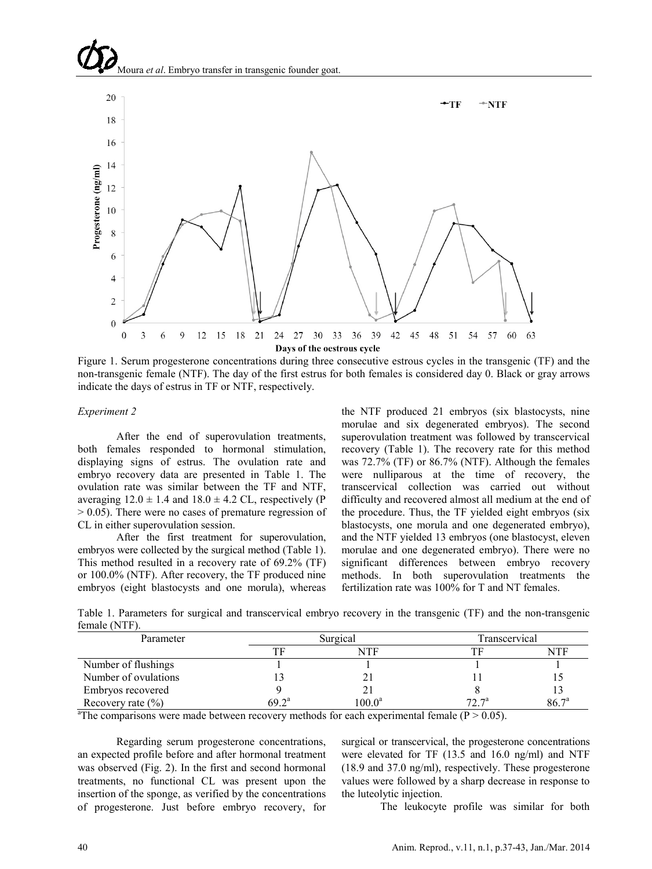Moura *et al*. Embryo transfer in transgenic founder goat.



Figure 1. Serum progesterone concentrations during three consecutive estrous cycles in the transgenic (TF) and the non-transgenic female (NTF). The day of the first estrus for both females is considered day 0. Black or gray arrows indicate the days of estrus in TF or NTF, respectively.

#### *Experiment 2*

After the end of superovulation treatments, both females responded to hormonal stimulation, displaying signs of estrus. The ovulation rate and embryo recovery data are presented in Table 1. The ovulation rate was similar between the TF and NTF, averaging  $12.0 \pm 1.4$  and  $18.0 \pm 4.2$  CL, respectively (P  $> 0.05$ ). There were no cases of premature regression of CL in either superovulation session.

After the first treatment for superovulation, embryos were collected by the surgical method (Table 1). This method resulted in a recovery rate of 69.2% (TF) or 100.0% (NTF). After recovery, the TF produced nine embryos (eight blastocysts and one morula), whereas

the NTF produced 21 embryos (six blastocysts, nine morulae and six degenerated embryos). The second superovulation treatment was followed by transcervical recovery (Table 1). The recovery rate for this method was 72.7% (TF) or 86.7% (NTF). Although the females were nulliparous at the time of recovery, the transcervical collection was carried out without difficulty and recovered almost all medium at the end of the procedure. Thus, the TF yielded eight embryos (six blastocysts, one morula and one degenerated embryo), and the NTF yielded 13 embryos (one blastocyst, eleven morulae and one degenerated embryo). There were no significant differences between embryo recovery methods. In both superovulation treatments the fertilization rate was 100% for T and NT females.

Table 1. Parameters for surgical and transcervical embryo recovery in the transgenic (TF) and the non-transgenic female (NTF).

| Parameter             | Surgical |                 | Transcervical |                   |
|-----------------------|----------|-----------------|---------------|-------------------|
|                       |          | NTF             |               | NTF               |
| Number of flushings   |          |                 |               |                   |
| Number of ovulations  |          | ∠∣              |               |                   |
| Embryos recovered     |          |                 |               |                   |
| Recovery rate $(\% )$ | $692^a$  | $100.0^{\rm a}$ | $72T^a$       | 86.7 <sup>a</sup> |

<sup>a</sup>The comparisons were made between recovery methods for each experimental female ( $P > 0.05$ ).

Regarding serum progesterone concentrations, an expected profile before and after hormonal treatment was observed (Fig. 2). In the first and second hormonal treatments, no functional CL was present upon the insertion of the sponge, as verified by the concentrations of progesterone. Just before embryo recovery, for

surgical or transcervical, the progesterone concentrations were elevated for TF (13.5 and 16.0 ng/ml) and NTF (18.9 and 37.0 ng/ml), respectively. These progesterone values were followed by a sharp decrease in response to the luteolytic injection.

The leukocyte profile was similar for both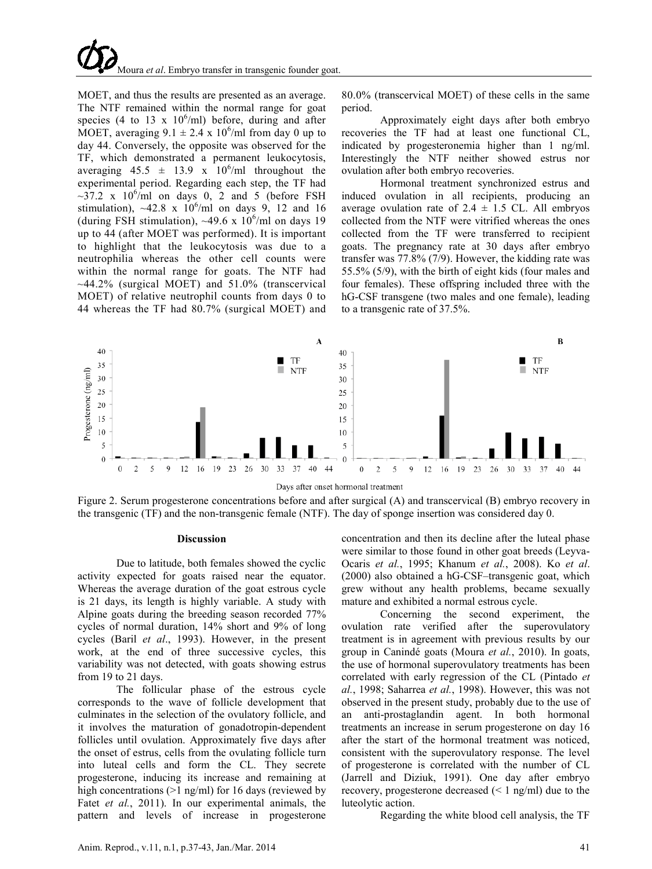

MOET, and thus the results are presented as an average. The NTF remained within the normal range for goat species (4 to 13 x  $10^6$ /ml) before, during and after MOET, averaging  $9.1 \pm 2.4 \times 10^6$ /ml from day 0 up to day 44. Conversely, the opposite was observed for the TF, which demonstrated a permanent leukocytosis, averaging  $45.5 \pm 13.9 \times 10^6/\text{ml}$  throughout the experimental period. Regarding each step, the TF had  $\sim$ 37.2 x 10<sup>6</sup>/ml on days 0, 2 and 5 (before FSH stimulation),  $\sim$ 42.8 x 10<sup>6</sup>/ml on days 9, 12 and 16 (during FSH stimulation),  $\sim$ 49.6 x 10<sup>6</sup>/ml on days 19 up to 44 (after MOET was performed). It is important to highlight that the leukocytosis was due to a neutrophilia whereas the other cell counts were within the normal range for goats. The NTF had  $\sim$ 44.2% (surgical MOET) and 51.0% (transcervical MOET) of relative neutrophil counts from days 0 to 44 whereas the TF had 80.7% (surgical MOET) and

80.0% (transcervical MOET) of these cells in the same period.

Approximately eight days after both embryo recoveries the TF had at least one functional CL, indicated by progesteronemia higher than 1 ng/ml. Interestingly the NTF neither showed estrus nor ovulation after both embryo recoveries.

Hormonal treatment synchronized estrus and induced ovulation in all recipients, producing an average ovulation rate of  $2.4 \pm 1.5$  CL. All embryos collected from the NTF were vitrified whereas the ones collected from the TF were transferred to recipient goats. The pregnancy rate at 30 days after embryo transfer was 77.8% (7/9). However, the kidding rate was 55.5% (5/9), with the birth of eight kids (four males and four females). These offspring included three with the hG-CSF transgene (two males and one female), leading to a transgenic rate of 37.5%.



Figure 2. Serum progesterone concentrations before and after surgical (A) and transcervical (B) embryo recovery in the transgenic (TF) and the non-transgenic female (NTF). The day of sponge insertion was considered day 0.

#### **Discussion**

Due to latitude, both females showed the cyclic activity expected for goats raised near the equator. Whereas the average duration of the goat estrous cycle is 21 days, its length is highly variable. A study with Alpine goats during the breeding season recorded 77% cycles of normal duration, 14% short and 9% of long cycles (Baril *et al*., 1993). However, in the present work, at the end of three successive cycles, this variability was not detected, with goats showing estrus from 19 to 21 days.

The follicular phase of the estrous cycle corresponds to the wave of follicle development that culminates in the selection of the ovulatory follicle, and it involves the maturation of gonadotropin-dependent follicles until ovulation. Approximately five days after the onset of estrus, cells from the ovulating follicle turn into luteal cells and form the CL. They secrete progesterone, inducing its increase and remaining at high concentrations (>1 ng/ml) for 16 days (reviewed by Fatet *et al.*, 2011). In our experimental animals, the pattern and levels of increase in progesterone

concentration and then its decline after the luteal phase were similar to those found in other goat breeds (Leyva-Ocaris *et al.*, 1995; Khanum *et al.*, 2008). Ko *et al*. (2000) also obtained a hG-CSF–transgenic goat, which grew without any health problems, became sexually mature and exhibited a normal estrous cycle.

Concerning the second experiment, the ovulation rate verified after the superovulatory treatment is in agreement with previous results by our group in Canindé goats (Moura *et al.*, 2010). In goats, the use of hormonal superovulatory treatments has been correlated with early regression of the CL (Pintado *et al.*, 1998; Saharrea *et al.*, 1998). However, this was not observed in the present study, probably due to the use of an anti-prostaglandin agent. In both hormonal treatments an increase in serum progesterone on day 16 after the start of the hormonal treatment was noticed, consistent with the superovulatory response. The level of progesterone is correlated with the number of CL (Jarrell and Diziuk, 1991). One day after embryo recovery, progesterone decreased (< 1 ng/ml) due to the luteolytic action.

Regarding the white blood cell analysis, the TF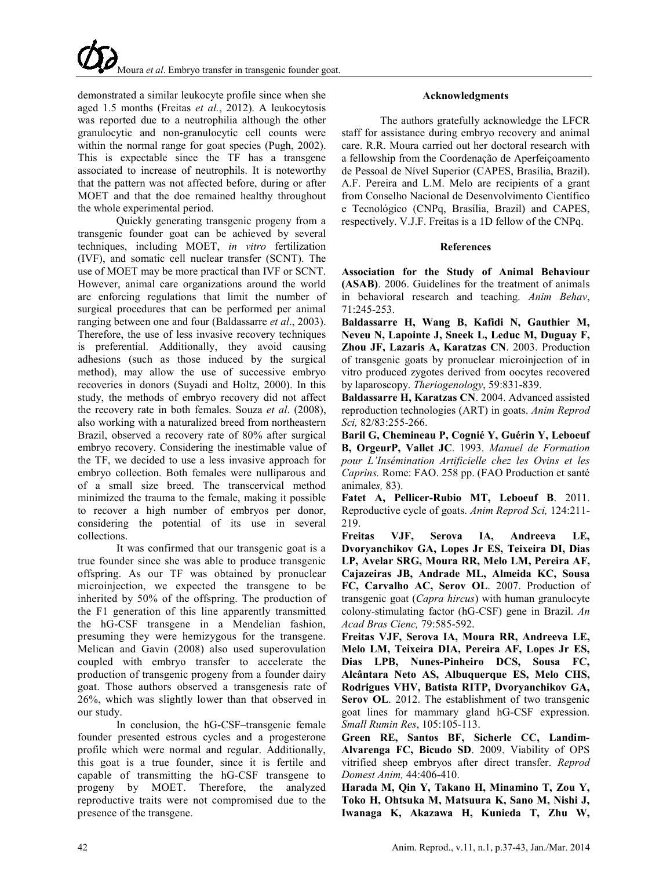demonstrated a similar leukocyte profile since when she aged 1.5 months (Freitas *et al.*, 2012). A leukocytosis was reported due to a neutrophilia although the other granulocytic and non-granulocytic cell counts were within the normal range for goat species (Pugh, 2002). This is expectable since the TF has a transgene associated to increase of neutrophils. It is noteworthy that the pattern was not affected before, during or after MOET and that the doe remained healthy throughout the whole experimental period.

Quickly generating transgenic progeny from a transgenic founder goat can be achieved by several techniques, including MOET, *in vitro* fertilization (IVF), and somatic cell nuclear transfer (SCNT). The use of MOET may be more practical than IVF or SCNT. However, animal care organizations around the world are enforcing regulations that limit the number of surgical procedures that can be performed per animal ranging between one and four (Baldassarre *et al*., 2003). Therefore, the use of less invasive recovery techniques is preferential. Additionally, they avoid causing adhesions (such as those induced by the surgical method), may allow the use of successive embryo recoveries in donors (Suyadi and Holtz, 2000). In this study, the methods of embryo recovery did not affect the recovery rate in both females. Souza *et al*. (2008), also working with a naturalized breed from northeastern Brazil, observed a recovery rate of 80% after surgical embryo recovery. Considering the inestimable value of the TF, we decided to use a less invasive approach for embryo collection. Both females were nulliparous and of a small size breed. The transcervical method minimized the trauma to the female, making it possible to recover a high number of embryos per donor, considering the potential of its use in several collections.

It was confirmed that our transgenic goat is a true founder since she was able to produce transgenic offspring. As our TF was obtained by pronuclear microinjection, we expected the transgene to be inherited by 50% of the offspring. The production of the F1 generation of this line apparently transmitted the hG-CSF transgene in a Mendelian fashion, presuming they were hemizygous for the transgene. Melican and Gavin (2008) also used superovulation coupled with embryo transfer to accelerate the production of transgenic progeny from a founder dairy goat. Those authors observed a transgenesis rate of 26%, which was slightly lower than that observed in our study.

In conclusion, the hG-CSF–transgenic female founder presented estrous cycles and a progesterone profile which were normal and regular. Additionally, this goat is a true founder, since it is fertile and capable of transmitting the hG-CSF transgene to progeny by MOET. Therefore, the analyzed reproductive traits were not compromised due to the presence of the transgene.

# **Acknowledgments**

The authors gratefully acknowledge the LFCR staff for assistance during embryo recovery and animal care. R.R. Moura carried out her doctoral research with a fellowship from the Coordenação de Aperfeiçoamento de Pessoal de Nível Superior (CAPES, Brasília, Brazil). A.F. Pereira and L.M. Melo are recipients of a grant from Conselho Nacional de Desenvolvimento Científico e Tecnológico (CNPq, Brasília, Brazil) and CAPES, respectively. V.J.F. Freitas is a 1D fellow of the CNPq.

# **References**

**Association for the Study of Animal Behaviour (ASAB)**. 2006. Guidelines for the treatment of animals in behavioral research and teaching. *Anim Behav*, 71:245-253.

**Baldassarre H, Wang B, Kafidi N, Gauthier M, Neveu N, Lapointe J, Sneek L, Leduc M, Duguay F, Zhou JF, Lazaris A, Karatzas CN**. 2003. Production of transgenic goats by pronuclear microinjection of in vitro produced zygotes derived from oocytes recovered by laparoscopy. *Theriogenology*, 59:831-839.

**Baldassarre H, Karatzas CN**. 2004. Advanced assisted reproduction technologies (ART) in goats. *Anim Reprod Sci,* 82/83:255-266.

**Baril G, Chemineau P, Cognié Y, Guérin Y, Leboeuf B, OrgeurP, Vallet JC**. 1993. *Manuel de Formation pour L'Insémination Artificielle chez les Ovins et les Caprins.* Rome: FAO. 258 pp. (FAO Production et santé animale*s,* 83).

**Fatet A, Pellicer-Rubio MT, Leboeuf B**. 2011. Reproductive cycle of goats. *Anim Reprod Sci,* 124:211- 219.

**Freitas VJF, Serova IA, Andreeva LE, Dvoryanchikov GA, Lopes Jr ES, Teixeira DI, Dias LP, Avelar SRG, Moura RR, Melo LM, Pereira AF, Cajazeiras JB, Andrade ML, Almeida KC, Sousa FC, Carvalho AC, Serov OL**. 2007. Production of transgenic goat (*Capra hircus*) with human granulocyte colony-stimulating factor (hG-CSF) gene in Brazil. *An Acad Bras Cienc,* 79:585-592.

**Freitas VJF, Serova IA, Moura RR, Andreeva LE, Melo LM, Teixeira DIA, Pereira AF, Lopes Jr ES, Dias LPB, Nunes-Pinheiro DCS, Sousa FC, Alcântara Neto AS, Albuquerque ES, Melo CHS, Rodrigues VHV, Batista RITP, Dvoryanchikov GA, Serov OL**. 2012. The establishment of two transgenic goat lines for mammary gland hG-CSF expression. *Small Rumin Res*, 105:105-113.

**Green RE, Santos BF, Sicherle CC, Landim-Alvarenga FC, Bicudo SD**. 2009. Viability of OPS vitrified sheep embryos after direct transfer. *Reprod Domest Anim,* 44:406-410.

**Harada M, Qin Y, Takano H, Minamino T, Zou Y, Toko H, Ohtsuka M, Matsuura K, Sano M, Nishi J, Iwanaga K, Akazawa H, Kunieda T, Zhu W,**